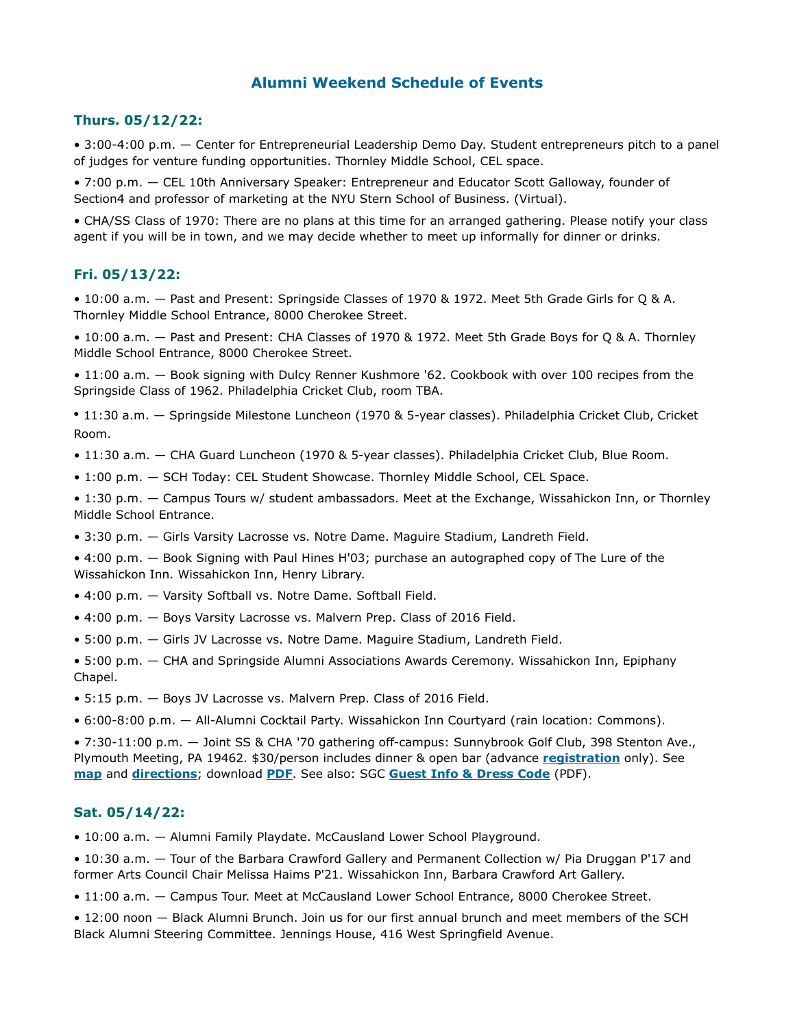# **Alumni Weekend Schedule of Events**

## **Thurs. 05/12/22:**

• 3:00-4:00 p.m. — Center for Entrepreneurial Leadership Demo Day. Student entrepreneurs pitch to a panel of judges for venture funding opportunities. Thornley Middle School, CEL space.

• 7:00 p.m. — CEL 10th Anniversary Speaker: Entrepreneur and Educator Scott Galloway, founder of Section4 and professor of marketing at the NYU Stern School of Business. (Virtual).

• CHA/SS Class of 1970: There are no plans at this time for an arranged gathering. Please notify your class agent if you will be in town, and we may decide whether to meet up informally for dinner or drinks.

### **Fri. 05/13/22:**

• 10:00 a.m. — Past and Present: Springside Classes of 1970 & 1972. Meet 5th Grade Girls for Q & A. Thornley Middle School Entrance, 8000 Cherokee Street.

• 10:00 a.m. — Past and Present: CHA Classes of 1970 & 1972. Meet 5th Grade Boys for Q & A. Thornley Middle School Entrance, 8000 Cherokee Street.

• 11:00 a.m. — Book signing with Dulcy Renner Kushmore '62. Cookbook with over 100 recipes from the Springside Class of 1962. Philadelphia Cricket Club, room TBA.

• 11:30 a.m. — Springside Milestone Luncheon (1970 & 5-year classes). Philadelphia Cricket Club, Cricket Room.

- 11:30 a.m. CHA Guard Luncheon (1970 & 5-year classes). Philadelphia Cricket Club, Blue Room.
- 1:00 p.m. SCH Today: CEL Student Showcase. Thornley Middle School, CEL Space.

• 1:30 p.m. — Campus Tours w/ student ambassadors. Meet at the Exchange, Wissahickon Inn, or Thornley Middle School Entrance.

• 3:30 p.m. — Girls Varsity Lacrosse vs. Notre Dame. Maguire Stadium, Landreth Field.

• 4:00 p.m. — Book Signing with Paul Hines H'03; purchase an autographed copy of The Lure of the Wissahickon Inn. Wissahickon Inn, Henry Library.

- 4:00 p.m. Varsity Softball vs. Notre Dame. Softball Field.
- 4:00 p.m. Boys Varsity Lacrosse vs. Malvern Prep. Class of 2016 Field.
- 5:00 p.m. Girls JV Lacrosse vs. Notre Dame. Maguire Stadium, Landreth Field.

• 5:00 p.m. — CHA and Springside Alumni Associations Awards Ceremony. Wissahickon Inn, Epiphany Chapel.

• 5:15 p.m. — Boys JV Lacrosse vs. Malvern Prep. Class of 2016 Field.

• 6:00-8:00 p.m. — All-Alumni Cocktail Party. Wissahickon Inn Courtyard (rain location: Commons).

• 7:30-11:00 p.m. — Joint SS & CHA '70 gathering off-campus: Sunnybrook Golf Club, 398 Stenton Ave., Plymouth Meeting, PA 19462. \$30/person includes dinner & open bar (advance **[registration](https://www.sch.org/school/alumni/alumni-registration)** only). See **[map](https://sch1970.org/maps/map_to_sunnybrook.html)** and **[directions](https://goo.gl/maps/3sFi4FXeZsqdca7V6)**; download **[PDF](https://sch1970.org/maps/map_&_directions_to_sunnybrook.pdf)**. See also: SGC **[Guest Info & Dress Code](http://sunnybrookgc.clubhouseonline-e3.com/getmedia/41f8778e-38a0-4dd2-b9e7-eb1db3ceb9ff/Guest_Information3_1_17.aspx)** (PDF).

#### **Sat. 05/14/22:**

• 10:00 a.m. — Alumni Family Playdate. McCausland Lower School Playground.

• 10:30 a.m. — Tour of the Barbara Crawford Gallery and Permanent Collection w/ Pia Druggan P'17 and former Arts Council Chair Melissa Haims P'21. Wissahickon Inn, Barbara Crawford Art Gallery.

• 11:00 a.m. — Campus Tour. Meet at McCausland Lower School Entrance, 8000 Cherokee Street.

• 12:00 noon — Black Alumni Brunch. Join us for our first annual brunch and meet members of the SCH Black Alumni Steering Committee. Jennings House, 416 West Springfield Avenue.